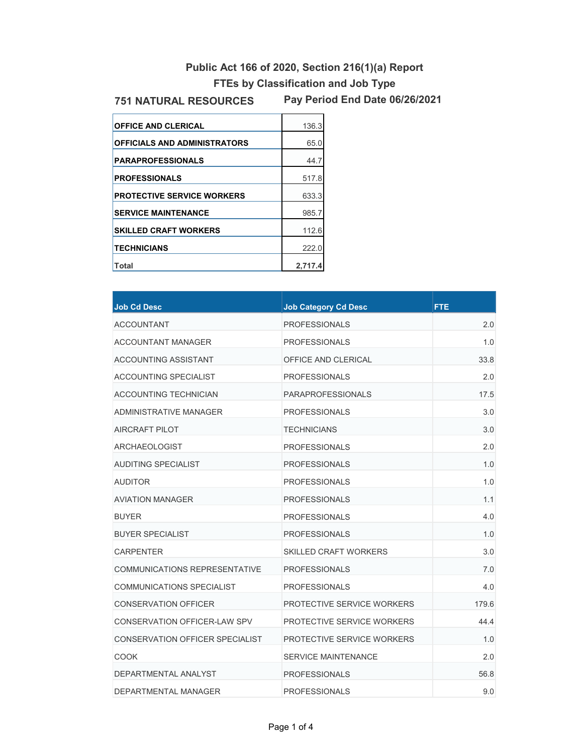# **Public Act 166 of 2020, Section 216(1)(a) Report**

## **FTEs by Classification and Job Type**

#### **751 NATURAL RESOURCES**

**Pay Period End Date 06/26/2021**

| <b>OFFICE AND CLERICAL</b>          | 136.3   |
|-------------------------------------|---------|
| <b>OFFICIALS AND ADMINISTRATORS</b> | 65.0    |
| <b>PARAPROFESSIONALS</b>            | 44.7    |
| <b>PROFESSIONALS</b>                | 517.8   |
| <b>PROTECTIVE SERVICE WORKERS</b>   | 633.3   |
| <b>SERVICE MAINTENANCE</b>          | 985.7   |
| <b>SKILLED CRAFT WORKERS</b>        | 112.6   |
| <b>TECHNICIANS</b>                  | 222.0   |
| Total                               | 2.717.4 |

| <b>Job Cd Desc</b>                     | <b>Job Category Cd Desc</b>  | <b>FTE</b> |
|----------------------------------------|------------------------------|------------|
| <b>ACCOUNTANT</b>                      | <b>PROFESSIONALS</b>         | 2.0        |
| <b>ACCOUNTANT MANAGER</b>              | <b>PROFESSIONALS</b>         | 1.0        |
| <b>ACCOUNTING ASSISTANT</b>            | OFFICE AND CLERICAL          | 33.8       |
| <b>ACCOUNTING SPECIALIST</b>           | <b>PROFESSIONALS</b>         | 2.0        |
| <b>ACCOUNTING TECHNICIAN</b>           | <b>PARAPROFESSIONALS</b>     | 17.5       |
| <b>ADMINISTRATIVE MANAGER</b>          | <b>PROFESSIONALS</b>         | 3.0        |
| AIRCRAFT PILOT                         | <b>TECHNICIANS</b>           | 3.0        |
| <b>ARCHAEOLOGIST</b>                   | <b>PROFESSIONALS</b>         | 2.0        |
| <b>AUDITING SPECIALIST</b>             | <b>PROFESSIONALS</b>         | 1.0        |
| <b>AUDITOR</b>                         | <b>PROFESSIONALS</b>         | 1.0        |
| <b>AVIATION MANAGER</b>                | <b>PROFESSIONALS</b>         | 1.1        |
| <b>BUYER</b>                           | <b>PROFESSIONALS</b>         | 4.0        |
| <b>BUYER SPECIALIST</b>                | <b>PROFESSIONALS</b>         | 1.0        |
| <b>CARPENTER</b>                       | <b>SKILLED CRAFT WORKERS</b> | 3.0        |
| <b>COMMUNICATIONS REPRESENTATIVE</b>   | <b>PROFESSIONALS</b>         | 7.0        |
| COMMUNICATIONS SPECIALIST              | <b>PROFESSIONALS</b>         | 4.0        |
| <b>CONSERVATION OFFICER</b>            | PROTECTIVE SERVICE WORKERS   | 179.6      |
| CONSERVATION OFFICER-LAW SPV           | PROTECTIVE SERVICE WORKERS   | 44.4       |
| <b>CONSERVATION OFFICER SPECIALIST</b> | PROTECTIVE SERVICE WORKERS   | 1.0        |
| <b>COOK</b>                            | <b>SERVICE MAINTENANCE</b>   | 2.0        |
| DEPARTMENTAL ANALYST                   | <b>PROFESSIONALS</b>         | 56.8       |
| DEPARTMENTAL MANAGER                   | <b>PROFESSIONALS</b>         | 9.0        |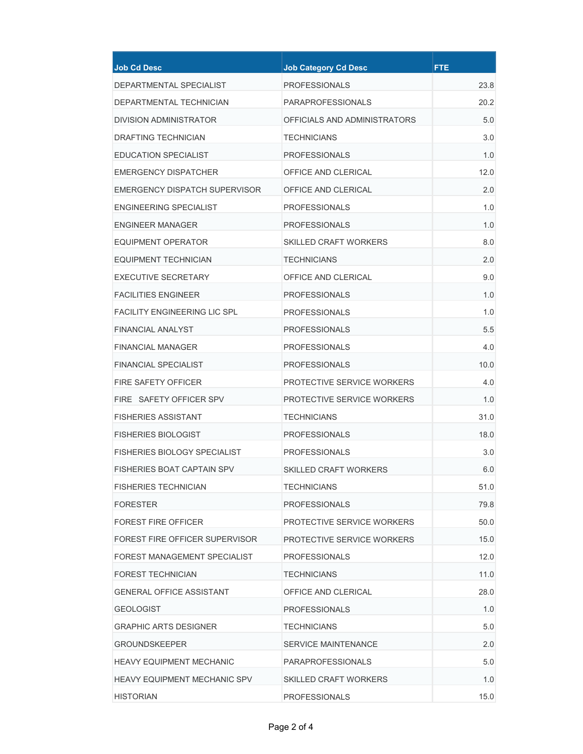| <b>Job Cd Desc</b>                  | <b>Job Category Cd Desc</b>  | <b>FTE</b> |
|-------------------------------------|------------------------------|------------|
| DEPARTMENTAL SPECIALIST             | <b>PROFESSIONALS</b>         | 23.8       |
| DEPARTMENTAL TECHNICIAN             | <b>PARAPROFESSIONALS</b>     | 20.2       |
| <b>DIVISION ADMINISTRATOR</b>       | OFFICIALS AND ADMINISTRATORS | 5.0        |
| <b>DRAFTING TECHNICIAN</b>          | <b>TECHNICIANS</b>           | 3.0        |
| <b>EDUCATION SPECIALIST</b>         | <b>PROFESSIONALS</b>         | 1.0        |
| <b>EMERGENCY DISPATCHER</b>         | OFFICE AND CLERICAL          | 12.0       |
| EMERGENCY DISPATCH SUPERVISOR       | OFFICE AND CLERICAL          | 2.0        |
| ENGINEERING SPECIALIST              | <b>PROFESSIONALS</b>         | 1.0        |
| <b>ENGINEER MANAGER</b>             | <b>PROFESSIONALS</b>         | 1.0        |
| <b>EQUIPMENT OPERATOR</b>           | <b>SKILLED CRAFT WORKERS</b> | 8.0        |
| EQUIPMENT TECHNICIAN                | <b>TFCHNICIANS</b>           | 2.0        |
| <b>EXECUTIVE SECRETARY</b>          | OFFICE AND CLERICAL          | 9.0        |
| <b>FACILITIES ENGINEER</b>          | <b>PROFESSIONALS</b>         | 1.0        |
| <b>FACILITY ENGINEERING LIC SPL</b> | <b>PROFESSIONALS</b>         | 1.0        |
| <b>FINANCIAL ANALYST</b>            | <b>PROFESSIONALS</b>         | 5.5        |
| FINANCIAL MANAGER                   | <b>PROFESSIONALS</b>         | 4.0        |
| <b>FINANCIAL SPECIALIST</b>         | <b>PROFESSIONALS</b>         | 10.0       |
| <b>FIRE SAFETY OFFICER</b>          | PROTECTIVE SERVICE WORKERS   | 4.0        |
| FIRE SAFETY OFFICER SPV             | PROTECTIVE SERVICE WORKERS   | 1.0        |
| <b>FISHERIES ASSISTANT</b>          | <b>TECHNICIANS</b>           | 31.0       |
| <b>FISHERIES BIOLOGIST</b>          | <b>PROFESSIONALS</b>         | 18.0       |
| <b>FISHERIES BIOLOGY SPECIALIST</b> | <b>PROFESSIONALS</b>         | 3.0        |
| <b>FISHERIES BOAT CAPTAIN SPV</b>   | <b>SKILLED CRAFT WORKERS</b> | 6.0        |
| <b>FISHERIES TECHNICIAN</b>         | <b>TECHNICIANS</b>           | 51.0       |
| <b>FORESTER</b>                     | <b>PROFESSIONALS</b>         | 79.8       |
| <b>FOREST FIRE OFFICER</b>          | PROTECTIVE SERVICE WORKERS   | 50.0       |
| FOREST FIRE OFFICER SUPERVISOR      | PROTECTIVE SERVICE WORKERS   | 15.0       |
| FOREST MANAGEMENT SPECIALIST        | <b>PROFESSIONALS</b>         | 12.0       |
| <b>FOREST TECHNICIAN</b>            | <b>TECHNICIANS</b>           | 11.0       |
| <b>GENERAL OFFICE ASSISTANT</b>     | OFFICE AND CLERICAL          | 28.0       |
| <b>GEOLOGIST</b>                    | <b>PROFESSIONALS</b>         | 1.0        |
| <b>GRAPHIC ARTS DESIGNER</b>        | <b>TECHNICIANS</b>           | 5.0        |
| <b>GROUNDSKEEPER</b>                | SERVICE MAINTENANCE          | 2.0        |
| <b>HEAVY EQUIPMENT MECHANIC</b>     | <b>PARAPROFESSIONALS</b>     | 5.0        |
| <b>HEAVY EQUIPMENT MECHANIC SPV</b> | <b>SKILLED CRAFT WORKERS</b> | 1.0        |
| <b>HISTORIAN</b>                    | <b>PROFESSIONALS</b>         | 15.0       |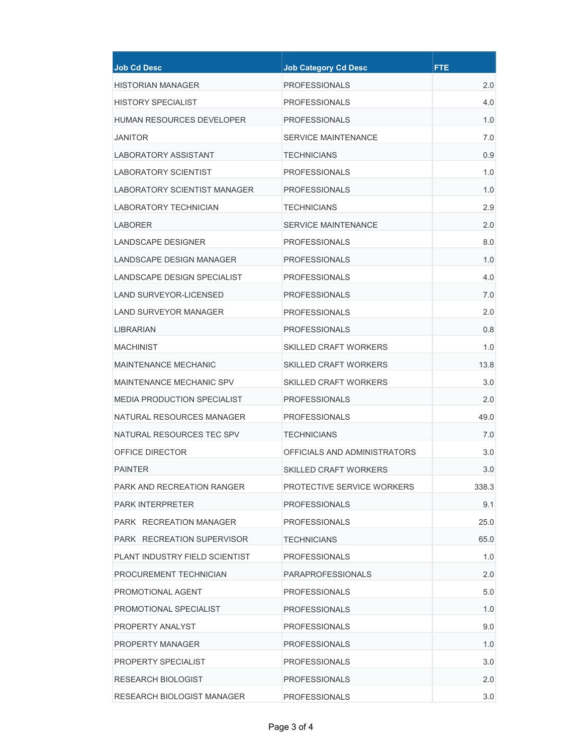| <b>Job Cd Desc</b>                  | <b>Job Category Cd Desc</b>  | <b>FTE</b> |
|-------------------------------------|------------------------------|------------|
| <b>HISTORIAN MANAGER</b>            | <b>PROFESSIONALS</b>         | 2.0        |
| <b>HISTORY SPECIALIST</b>           | <b>PROFESSIONALS</b>         | 4.0        |
| <b>HUMAN RESOURCES DEVELOPER</b>    | <b>PROFESSIONALS</b>         | 1.0        |
| JANITOR                             | <b>SERVICE MAINTENANCE</b>   | 7.0        |
| LABORATORY ASSISTANT                | <b>TECHNICIANS</b>           | 0.9        |
| <b>LABORATORY SCIENTIST</b>         | <b>PROFESSIONALS</b>         | 1.0        |
| <b>LABORATORY SCIENTIST MANAGER</b> | <b>PROFESSIONALS</b>         | 1.0        |
| LABORATORY TECHNICIAN               | <b>TECHNICIANS</b>           | 2.9        |
| <b>LABORER</b>                      | <b>SERVICE MAINTENANCE</b>   | 2.0        |
| LANDSCAPE DESIGNER                  | <b>PROFESSIONALS</b>         | 8.0        |
| LANDSCAPE DESIGN MANAGER            | <b>PROFESSIONALS</b>         | 1.0        |
| LANDSCAPE DESIGN SPECIALIST         | <b>PROFESSIONALS</b>         | 4.0        |
| <b>LAND SURVEYOR-LICENSED</b>       | <b>PROFESSIONALS</b>         | 7.0        |
| <b>LAND SURVEYOR MANAGER</b>        | <b>PROFESSIONALS</b>         | 2.0        |
| <b>LIBRARIAN</b>                    | <b>PROFESSIONALS</b>         | 0.8        |
| <b>MACHINIST</b>                    | <b>SKILLED CRAFT WORKERS</b> | 1.0        |
| MAINTENANCE MECHANIC                | <b>SKILLED CRAFT WORKERS</b> | 13.8       |
| <b>MAINTENANCE MECHANIC SPV</b>     | <b>SKILLED CRAFT WORKERS</b> | 3.0        |
| <b>MEDIA PRODUCTION SPECIALIST</b>  | <b>PROFESSIONALS</b>         | 2.0        |
| NATURAL RESOURCES MANAGER           | <b>PROFESSIONALS</b>         | 49.0       |
| NATURAL RESOURCES TEC SPV           | <b>TECHNICIANS</b>           | 7.0        |
| OFFICE DIRECTOR                     | OFFICIALS AND ADMINISTRATORS | 3.0        |
| <b>PAINTER</b>                      | <b>SKILLED CRAFT WORKERS</b> | 3.0        |
| PARK AND RECREATION RANGER          | PROTECTIVE SERVICE WORKERS   | 338.3      |
| <b>PARK INTERPRETER</b>             | <b>PROFESSIONALS</b>         | 9.1        |
| PARK RECREATION MANAGER             | <b>PROFESSIONALS</b>         | 25.0       |
| PARK RECREATION SUPERVISOR          | <b>TECHNICIANS</b>           | 65.0       |
| PLANT INDUSTRY FIELD SCIENTIST      | <b>PROFESSIONALS</b>         | 1.0        |
| PROCUREMENT TECHNICIAN              | <b>PARAPROFESSIONALS</b>     | 2.0        |
| PROMOTIONAL AGENT                   | <b>PROFESSIONALS</b>         | 5.0        |
| PROMOTIONAL SPECIALIST              | <b>PROFESSIONALS</b>         | 1.0        |
| PROPERTY ANALYST                    | <b>PROFESSIONALS</b>         | 9.0        |
| <b>PROPERTY MANAGER</b>             | <b>PROFESSIONALS</b>         | 1.0        |
| PROPERTY SPECIALIST                 | <b>PROFESSIONALS</b>         | 3.0        |
| <b>RESEARCH BIOLOGIST</b>           | <b>PROFESSIONALS</b>         | 2.0        |
| RESEARCH BIOLOGIST MANAGER          | <b>PROFESSIONALS</b>         | 3.0        |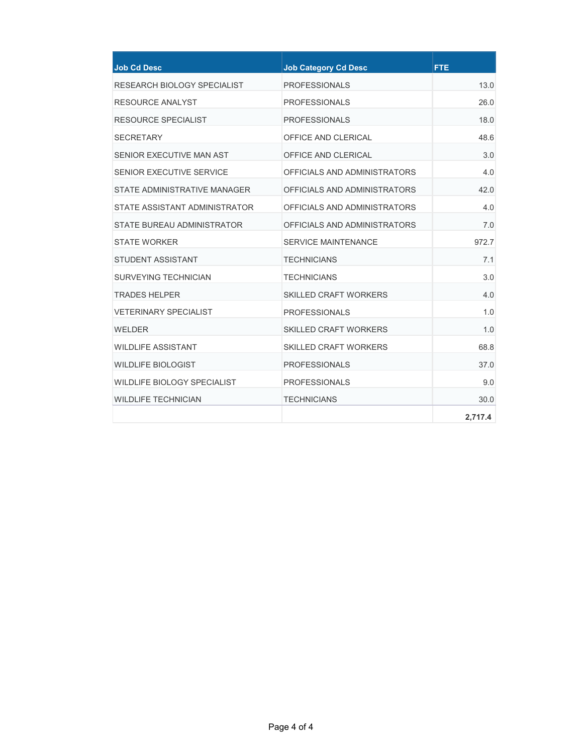| <b>Job Cd Desc</b>                 | <b>Job Category Cd Desc</b>   | <b>FTE</b> |
|------------------------------------|-------------------------------|------------|
| RESEARCH BIOLOGY SPECIALIST        | <b>PROFESSIONALS</b>          | 13.0       |
| <b>RESOURCE ANALYST</b>            | <b>PROFESSIONALS</b>          | 26.0       |
| <b>RESOURCE SPECIALIST</b>         | <b>PROFESSIONALS</b>          | 18.0       |
| <b>SECRETARY</b>                   | OFFICE AND CLERICAL           | 48.6       |
| SENIOR EXECUTIVE MAN AST           | OFFICE AND CLERICAL           | 3.0        |
| SENIOR EXECUTIVE SERVICE           | OFFICIALS AND ADMINISTRATORS  | 4.0        |
| STATE ADMINISTRATIVE MANAGER       | OFFICIALS AND ADMINISTRATORS  | 42.0       |
| STATE ASSISTANT ADMINISTRATOR      | OFFICIAI S AND ADMINISTRATORS | 4.0        |
| STATE BUREAU ADMINISTRATOR         | OFFICIALS AND ADMINISTRATORS  | 7.0        |
| STATE WORKER                       | <b>SERVICE MAINTENANCE</b>    | 972.7      |
| <b>STUDENT ASSISTANT</b>           | <b>TECHNICIANS</b>            | 7.1        |
| <b>SURVEYING TECHNICIAN</b>        | <b>TECHNICIANS</b>            | 3.0        |
| <b>TRADES HELPER</b>               | <b>SKILLED CRAFT WORKERS</b>  | 4.0        |
| <b>VETERINARY SPECIALIST</b>       | <b>PROFESSIONALS</b>          | 1.0        |
| <b>WELDER</b>                      | <b>SKILLED CRAFT WORKERS</b>  | 1.0        |
| WII DI IFF ASSISTANT               | <b>SKILLED CRAFT WORKERS</b>  | 68.8       |
| <b>WILDLIFE BIOLOGIST</b>          | <b>PROFESSIONALS</b>          | 37.0       |
| <b>WILDLIFE BIOLOGY SPECIALIST</b> | <b>PROFESSIONALS</b>          | 9.0        |
| <b>WILDLIFE TECHNICIAN</b>         | <b>TECHNICIANS</b>            | 30.0       |
|                                    |                               | 2,717.4    |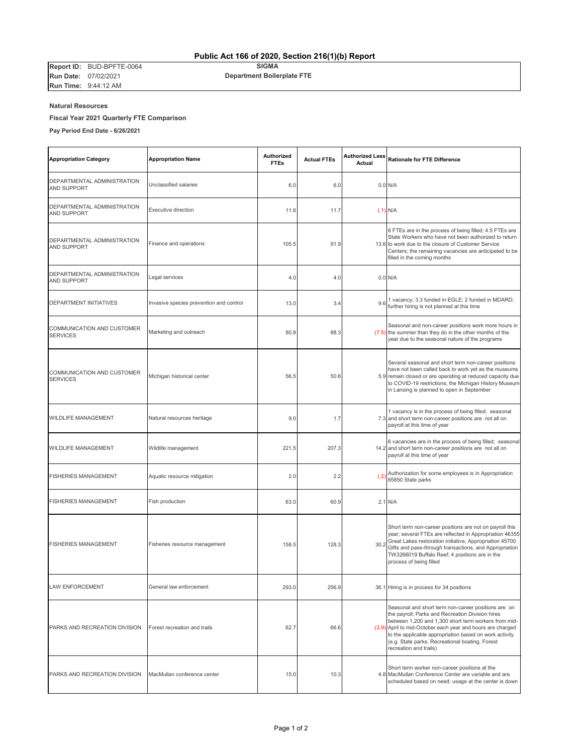**Report ID:** BUD-BPFTE-0064 **Run Date:** 07/02/2021 **Run Time:** 9:44:12 AM

| <b>Appropriation Category</b>                        | <b>Appropriation Name</b>               | <b>Authorized</b><br><b>FTEs</b> | <b>Actual FTEs</b> | <b>Authorized Less</b><br>Actual | Rationale for FTE Difference                                                                                                                                                                                                                                                                                                                                         |
|------------------------------------------------------|-----------------------------------------|----------------------------------|--------------------|----------------------------------|----------------------------------------------------------------------------------------------------------------------------------------------------------------------------------------------------------------------------------------------------------------------------------------------------------------------------------------------------------------------|
| DEPARTMENTAL ADMINISTRATION<br><b>AND SUPPORT</b>    | Unclassified salaries                   | 6.0                              | 6.0                |                                  | $0.0$ N/A                                                                                                                                                                                                                                                                                                                                                            |
| DEPARTMENTAL ADMINISTRATION<br><b>AND SUPPORT</b>    | Executive direction                     | 11.6                             | 11.7               |                                  | $(.1)$ N/A                                                                                                                                                                                                                                                                                                                                                           |
| DEPARTMENTAL ADMINISTRATION<br><b>AND SUPPORT</b>    | Finance and operations                  | 105.5                            | 91.9               |                                  | 6 FTEs are in the process of being filled; 4.5 FTEs are<br>State Workers who have not been authorized to return<br>13.6 to work due to the closure of Customer Service<br>Centers; the remaining vacancies are anticipated to be<br>filled in the coming months                                                                                                      |
| DEPARTMENTAL ADMINISTRATION<br><b>AND SUPPORT</b>    | Legal services                          | 4.0                              | 4.0                |                                  | $0.0$ N/A                                                                                                                                                                                                                                                                                                                                                            |
| DEPARTMENT INITIATIVES                               | Invasive species prevention and control | 13.0                             | 3.4                | 9.6                              | 1 vacancy; 3.3 funded in EGLE; 2 funded in MDARD;<br>further hiring is not planned at this time                                                                                                                                                                                                                                                                      |
| <b>COMMUNICATION AND CUSTOMER</b><br><b>SERVICES</b> | Marketing and outreach                  | 80.8                             | 88.3               |                                  | Seasonal and non-career positions work more hours in<br>(7.5) the summer than they do in the other months of the<br>year due to the seasonal nature of the programs                                                                                                                                                                                                  |
| COMMUNICATION AND CUSTOMER<br><b>SERVICES</b>        | Michigan historical center              | 56.5                             | 50.6               |                                  | Several seasonal and short term non-career positions<br>have not been called back to work yet as the museums<br>5.9 remain closed or are operating at reduced capacity due<br>to COVID-19 restrictions; the Michigan History Museum<br>in Lansing is planned to open in September                                                                                    |
| <b>WILDLIFE MANAGEMENT</b>                           | Natural resources heritage              | 9.0                              | 1.7                |                                  | 1 vacancy is in the process of being filled; seasonal<br>7.3 and short term non-career positions are not all on<br>payroll at this time of year                                                                                                                                                                                                                      |
| <b>WILDLIFE MANAGEMENT</b>                           | Wildlife management                     | 221.5                            | 207.3              |                                  | 6 vacancies are in the process of being filled; seasonal<br>14.2 and short term non-career positions are not all on<br>payroll at this time of year                                                                                                                                                                                                                  |
| <b>FISHERIES MANAGEMENT</b>                          | Aquatic resource mitigation             | 2.0                              | 2.2                | (.2)                             | Authorization for some employees is in Appropriation<br>65850 State parks                                                                                                                                                                                                                                                                                            |
| <b>FISHERIES MANAGEMENT</b>                          | Fish production                         | 63.0                             | 60.9               |                                  | $2.1$ N/A                                                                                                                                                                                                                                                                                                                                                            |
| <b>FISHERIES MANAGEMENT</b>                          | Fisheries resource management           | 158.5                            | 128.3              | 30.2                             | Short term non-career positions are not on payroll this<br>year; several FTEs are reflected in Appropriation 46355<br>Great Lakes restoration initiative, Appropriation 45700<br>Gifts and pass-through transactions, and Appropriation<br>TW3266019 Buffalo Reef; 4 positions are in the<br>process of being filled                                                 |
| LAW ENFORCEMENT                                      | General law enforcement                 | 293.0                            | 256.9              |                                  | 36.1 Hiring is in process for 34 positions                                                                                                                                                                                                                                                                                                                           |
| PARKS AND RECREATION DIVISION                        | Forest recreation and trails            | 62.7                             | 66.6               |                                  | Seasonal and short term non-career positions are on<br>the payroll; Parks and Recreation Division hires<br>between 1,200 and 1,300 short term workers from mid-<br>(3.9) April to mid-October each year and hours are charged<br>to the applicable appropriation based on work activity<br>(e.g. State parks, Recreational boating, Forest<br>recreation and trails) |
| PARKS AND RECREATION DIVISION                        | MacMullan conference center             | 15.0                             | 10.3               |                                  | Short term worker non-career positions at the<br>4.8 MacMullan Conference Center are variable and are<br>scheduled based on need; usage at the center is down                                                                                                                                                                                                        |

#### **Natural Resources**

#### **Fiscal Year 2021 Quarterly FTE Comparison**

**Pay Period End Date - 6/26/2021** 

### **Public Act 166 of 2020, Section 216(1)(b) Report**

**SIGMA**

 **Department Boilerplate FTE**